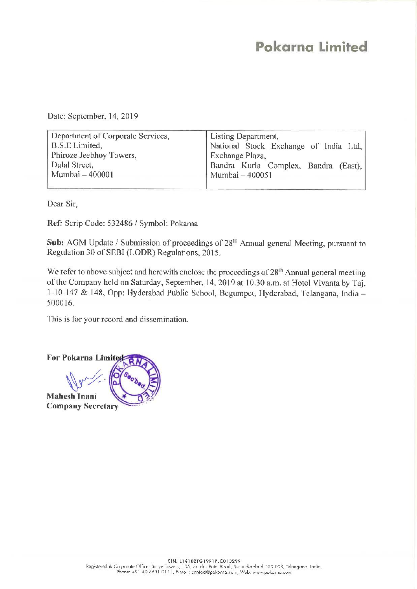Date: September, 14, 2019

| Department of Corporate Services, | Listing Department,                   |
|-----------------------------------|---------------------------------------|
| <b>B.S.E</b> Limited,             | National Stock Exchange of India Ltd, |
| Phiroze Jeebhoy Towers,           | Exchange Plaza,                       |
| Dalal Street,                     | Bandra Kurla Complex, Bandra (East),  |
| Mumbai - 400001                   | Mumbai - 400051                       |
|                                   |                                       |

Dear Sir,

Ref: Scrip Code: 532486 / Symbol: Pokarna

Sub: AGM Update / Submission of proceedings of 28<sup>th</sup> Annual general Meeting, pursuant to Regulation <sup>30</sup> of SEBI (LODR) Regulations, 2015.

We refer to above subject and herewith enclose the proceedings of 28<sup>th</sup> Annual general meeting of the Company held on Saturday, September, 14, <sup>2019</sup> at 10.30 am. at Hotel Vivanta by Taj, 1—10-147 & 148, Opp: Hyderabad Public School, Begumpet, Hyderabad, Telangana, India — 500016.

This is for your record and dissemination.

**For Pokarna Limited Mahesh Inani** Company Secretary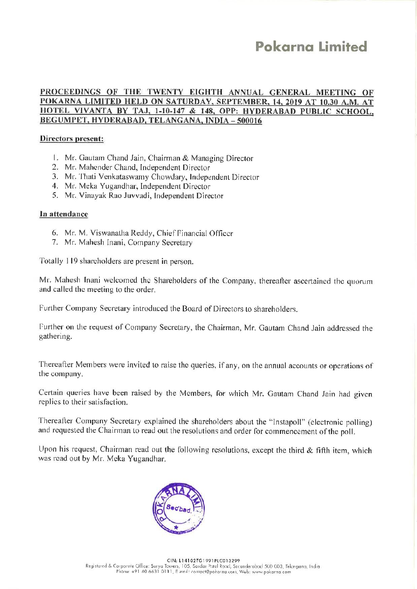# PROCEEDINGS OF THE TWENTY EIGHTH ANNUAL GENERAL MEETING OF POKARNA LIMITED HELD ON SATURDAY, SEPTEMBER, 14, 2019 AT 10.30 A.M. AT HOTEL VIVANTA BY TAJ, 1-10-147 & 148, OPP: HYDERABAD PUBLIC SCHOOL, <u>BEGUMPET, HYDERABAD, TELANGANA, INDIA – 500016</u>

#### Directors present:

- 1. Mr. Gautam Chand Jain, Chairman & Managing Director
- 2. Mr. Mahender Chand, Independent Director
- Mr. Thati Venkataswamy Chowdary, Independent Director
- Mr. Meka Yugandhar, Independent Director
- 5. Mr. Vinayak Rao Juvvadi, Independent Director

## In attendance

- 6. Mr. M. Viswanatha Reddy, Chief Financial Officer
- 7. Mr. Mahesh Inani, Company Secretary

Totally <sup>1</sup> l9 shareholders are present in person.

Mr. Mahesh Inani welcomed the Shareholders of the Company, thereafter ascertained the quorum and called the meeting to the order.

Further Company Secretary introduced the Board of Directors to shareholders.

Further on the request of Company Secretary, the Chairman, Mr. Gautam Chand Jain addressed the gathering.

Thereafter Members were invited to raise the queries, if any, on the annual accounts or operations of the company.

Certain queries have been raised by the Members, for which Mr. Gautam Chand Jain had given replies to their satisfaction.

Thereafter Company Secretary explained the shareholders about the "lnstapoll" (electronic polling) and requested the Chairman to read out the resolutions and order for commencement of the poll.

Upon his request, Chairman read out the following resolutions, except the third & fifth item, which was read out by Mr. Meka Yugandhar.

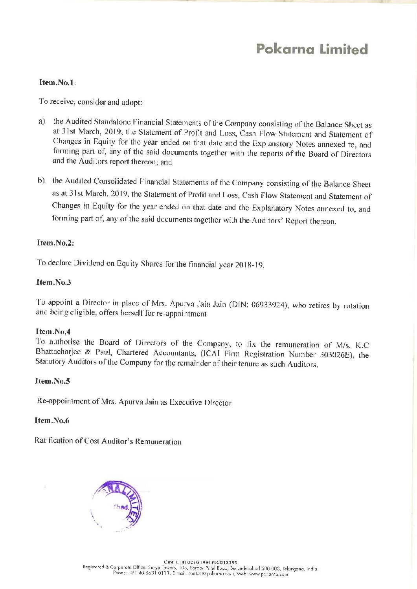# Item.N0.1:

To receive, consider and adopt:

- a) the Audited Standalone Financial Statements of the Company consisting of the Balance Sheet as at 3lst March, 2019, the Statement of Profit and Loss, Cash Flow Statement and Statement of Changes in Equity for the year ended on that date and the Explanatory Notes annexed to, and forming part of, any of the said documents together with the reports of the Board of Directors and the Auditors report thereon; and
- b) the Audited Consolidated Financial Statements of the Company consisting of the Balance Sheet as at 31st March, 2019, the Statement of Profit and Loss, Cash Flow Statement and Statement of Changes in Equity for the year ended on that date and the Explanatory Notes annexed to, and forming part of, any of the said documents together with the Auditors' Report thereon.

# Item.N0.2:

To declare Dividend on Equity Shares for the financial year 2018-19.

## Item.N0.3

To appoint <sup>a</sup> Director in place of Mrs. Apurva Jain Jain (DIN: 06933924), who retires by rotation and being eligible, offers herself for re-appointment

## Item.No.4

To authorise the Board of Directors of the Company, to fix the remuneration of M/s. K.C Bhattacharjee & Paul, Chartered Accountants, (lCAl Firm Registration Number 303026E), the Statutory Auditors of the Company for the remainder of their tenure as such Auditors.

# Item.N0.5

Re-appointment of Mrs. Apurva Jain as Executive Director

## Item.No.6

Ratification of Cost Auditor's Remuneration